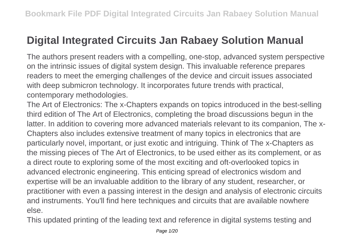## **Digital Integrated Circuits Jan Rabaey Solution Manual**

The authors present readers with a compelling, one-stop, advanced system perspective on the intrinsic issues of digital system design. This invaluable reference prepares readers to meet the emerging challenges of the device and circuit issues associated with deep submicron technology. It incorporates future trends with practical, contemporary methodologies.

The Art of Electronics: The x-Chapters expands on topics introduced in the best-selling third edition of The Art of Electronics, completing the broad discussions begun in the latter. In addition to covering more advanced materials relevant to its companion, The x-Chapters also includes extensive treatment of many topics in electronics that are particularly novel, important, or just exotic and intriguing. Think of The x-Chapters as the missing pieces of The Art of Electronics, to be used either as its complement, or as a direct route to exploring some of the most exciting and oft-overlooked topics in advanced electronic engineering. This enticing spread of electronics wisdom and expertise will be an invaluable addition to the library of any student, researcher, or practitioner with even a passing interest in the design and analysis of electronic circuits and instruments. You'll find here techniques and circuits that are available nowhere else.

This updated printing of the leading text and reference in digital systems testing and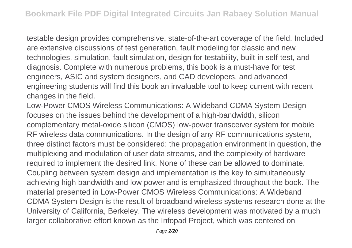testable design provides comprehensive, state-of-the-art coverage of the field. Included are extensive discussions of test generation, fault modeling for classic and new technologies, simulation, fault simulation, design for testability, built-in self-test, and diagnosis. Complete with numerous problems, this book is a must-have for test engineers, ASIC and system designers, and CAD developers, and advanced engineering students will find this book an invaluable tool to keep current with recent changes in the field.

Low-Power CMOS Wireless Communications: A Wideband CDMA System Design focuses on the issues behind the development of a high-bandwidth, silicon complementary metal-oxide silicon (CMOS) low-power transceiver system for mobile RF wireless data communications. In the design of any RF communications system, three distinct factors must be considered: the propagation environment in question, the multiplexing and modulation of user data streams, and the complexity of hardware required to implement the desired link. None of these can be allowed to dominate. Coupling between system design and implementation is the key to simultaneously achieving high bandwidth and low power and is emphasized throughout the book. The material presented in Low-Power CMOS Wireless Communications: A Wideband CDMA System Design is the result of broadband wireless systems research done at the University of California, Berkeley. The wireless development was motivated by a much larger collaborative effort known as the Infopad Project, which was centered on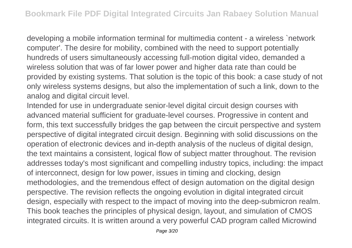developing a mobile information terminal for multimedia content - a wireless `network computer'. The desire for mobility, combined with the need to support potentially hundreds of users simultaneously accessing full-motion digital video, demanded a wireless solution that was of far lower power and higher data rate than could be provided by existing systems. That solution is the topic of this book: a case study of not only wireless systems designs, but also the implementation of such a link, down to the analog and digital circuit level.

Intended for use in undergraduate senior-level digital circuit design courses with advanced material sufficient for graduate-level courses. Progressive in content and form, this text successfully bridges the gap between the circuit perspective and system perspective of digital integrated circuit design. Beginning with solid discussions on the operation of electronic devices and in-depth analysis of the nucleus of digital design, the text maintains a consistent, logical flow of subject matter throughout. The revision addresses today's most significant and compelling industry topics, including: the impact of interconnect, design for low power, issues in timing and clocking, design methodologies, and the tremendous effect of design automation on the digital design perspective. The revision reflects the ongoing evolution in digital integrated circuit design, especially with respect to the impact of moving into the deep-submicron realm. This book teaches the principles of physical design, layout, and simulation of CMOS integrated circuits. It is written around a very powerful CAD program called Microwind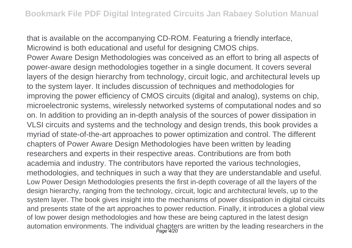that is available on the accompanying CD-ROM. Featuring a friendly interface, Microwind is both educational and useful for designing CMOS chips.

Power Aware Design Methodologies was conceived as an effort to bring all aspects of power-aware design methodologies together in a single document. It covers several layers of the design hierarchy from technology, circuit logic, and architectural levels up to the system layer. It includes discussion of techniques and methodologies for improving the power efficiency of CMOS circuits (digital and analog), systems on chip, microelectronic systems, wirelessly networked systems of computational nodes and so on. In addition to providing an in-depth analysis of the sources of power dissipation in VLSI circuits and systems and the technology and design trends, this book provides a myriad of state-of-the-art approaches to power optimization and control. The different chapters of Power Aware Design Methodologies have been written by leading researchers and experts in their respective areas. Contributions are from both academia and industry. The contributors have reported the various technologies, methodologies, and techniques in such a way that they are understandable and useful. Low Power Design Methodologies presents the first in-depth coverage of all the layers of the design hierarchy, ranging from the technology, circuit, logic and architectural levels, up to the system layer. The book gives insight into the mechanisms of power dissipation in digital circuits and presents state of the art approaches to power reduction. Finally, it introduces a global view of low power design methodologies and how these are being captured in the latest design automation environments. The individual chapters are written by the leading researchers in the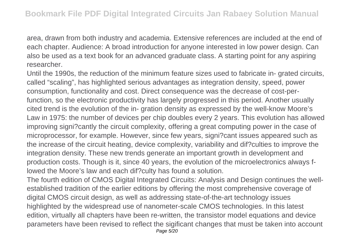area, drawn from both industry and academia. Extensive references are included at the end of each chapter. Audience: A broad introduction for anyone interested in low power design. Can also be used as a text book for an advanced graduate class. A starting point for any aspiring researcher.

Until the 1990s, the reduction of the minimum feature sizes used to fabricate in- grated circuits, called "scaling", has highlighted serious advantages as integration density, speed, power consumption, functionality and cost. Direct consequence was the decrease of cost-perfunction, so the electronic productivity has largely progressed in this period. Another usually cited trend is the evolution of the in- gration density as expressed by the well-know Moore's Law in 1975: the number of devices per chip doubles every 2 years. This evolution has allowed improving signi?cantly the circuit complexity, offering a great computing power in the case of microprocessor, for example. However, since few years, signi?cant issues appeared such as the increase of the circuit heating, device complexity, variability and dif?culties to improve the integration density. These new trends generate an important growth in development and production costs. Though is it, since 40 years, the evolution of the microelectronics always flowed the Moore's law and each dif?culty has found a solution.

The fourth edition of CMOS Digital Integrated Circuits: Analysis and Design continues the wellestablished tradition of the earlier editions by offering the most comprehensive coverage of digital CMOS circuit design, as well as addressing state-of-the-art technology issues highlighted by the widespread use of nanometer-scale CMOS technologies. In this latest edition, virtually all chapters have been re-written, the transistor model equations and device parameters have been revised to reflect the sigificant changes that must be taken into account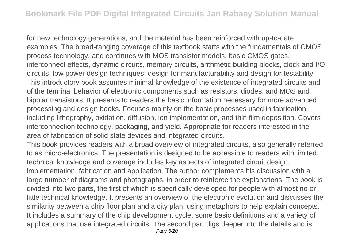for new technology generations, and the material has been reinforced with up-to-date examples. The broad-ranging coverage of this textbook starts with the fundamentals of CMOS process technology, and continues with MOS transistor models, basic CMOS gates, interconnect effects, dynamic circuits, memory circuits, arithmetic building blocks, clock and I/O circuits, low power design techniques, design for manufacturability and design for testability. This introductory book assumes minimal knowledge of the existence of integrated circuits and of the terminal behavior of electronic components such as resistors, diodes, and MOS and bipolar transistors. It presents to readers the basic information necessary for more advanced processing and design books. Focuses mainly on the basic processes used in fabrication, including lithography, oxidation, diffusion, ion implementation, and thin film deposition. Covers interconnection technology, packaging, and yield. Appropriate for readers interested in the area of fabrication of solid state devices and integrated circuits.

This book provides readers with a broad overview of integrated circuits, also generally referred to as micro-electronics. The presentation is designed to be accessible to readers with limited, technical knowledge and coverage includes key aspects of integrated circuit design, implementation, fabrication and application. The author complements his discussion with a large number of diagrams and photographs, in order to reinforce the explanations. The book is divided into two parts, the first of which is specifically developed for people with almost no or little technical knowledge. It presents an overview of the electronic evolution and discusses the similarity between a chip floor plan and a city plan, using metaphors to help explain concepts. It includes a summary of the chip development cycle, some basic definitions and a variety of applications that use integrated circuits. The second part digs deeper into the details and is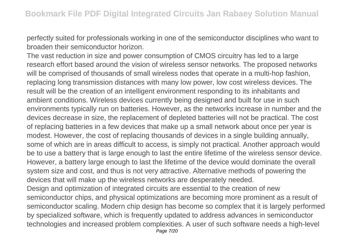perfectly suited for professionals working in one of the semiconductor disciplines who want to broaden their semiconductor horizon.

The vast reduction in size and power consumption of CMOS circuitry has led to a large research effort based around the vision of wireless sensor networks. The proposed networks will be comprised of thousands of small wireless nodes that operate in a multi-hop fashion, replacing long transmission distances with many low power, low cost wireless devices. The result will be the creation of an intelligent environment responding to its inhabitants and ambient conditions. Wireless devices currently being designed and built for use in such environments typically run on batteries. However, as the networks increase in number and the devices decrease in size, the replacement of depleted batteries will not be practical. The cost of replacing batteries in a few devices that make up a small network about once per year is modest. However, the cost of replacing thousands of devices in a single building annually, some of which are in areas difficult to access, is simply not practical. Another approach would be to use a battery that is large enough to last the entire lifetime of the wireless sensor device. However, a battery large enough to last the lifetime of the device would dominate the overall system size and cost, and thus is not very attractive. Alternative methods of powering the devices that will make up the wireless networks are desperately needed. Design and optimization of integrated circuits are essential to the creation of new semiconductor chips, and physical optimizations are becoming more prominent as a result of semiconductor scaling. Modern chip design has become so complex that it is largely performed

by specialized software, which is frequently updated to address advances in semiconductor technologies and increased problem complexities. A user of such software needs a high-level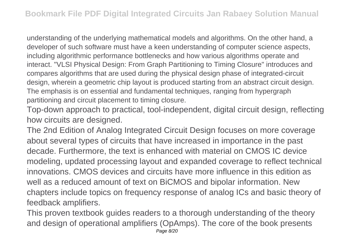understanding of the underlying mathematical models and algorithms. On the other hand, a developer of such software must have a keen understanding of computer science aspects, including algorithmic performance bottlenecks and how various algorithms operate and interact. "VLSI Physical Design: From Graph Partitioning to Timing Closure" introduces and compares algorithms that are used during the physical design phase of integrated-circuit design, wherein a geometric chip layout is produced starting from an abstract circuit design. The emphasis is on essential and fundamental techniques, ranging from hypergraph partitioning and circuit placement to timing closure.

Top-down approach to practical, tool-independent, digital circuit design, reflecting how circuits are designed.

The 2nd Edition of Analog Integrated Circuit Design focuses on more coverage about several types of circuits that have increased in importance in the past decade. Furthermore, the text is enhanced with material on CMOS IC device modeling, updated processing layout and expanded coverage to reflect technical innovations. CMOS devices and circuits have more influence in this edition as well as a reduced amount of text on BiCMOS and bipolar information. New chapters include topics on frequency response of analog ICs and basic theory of feedback amplifiers.

This proven textbook guides readers to a thorough understanding of the theory and design of operational amplifiers (OpAmps). The core of the book presents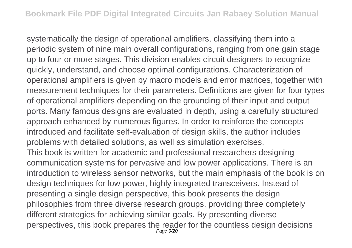systematically the design of operational amplifiers, classifying them into a periodic system of nine main overall configurations, ranging from one gain stage up to four or more stages. This division enables circuit designers to recognize quickly, understand, and choose optimal configurations. Characterization of operational amplifiers is given by macro models and error matrices, together with measurement techniques for their parameters. Definitions are given for four types of operational amplifiers depending on the grounding of their input and output ports. Many famous designs are evaluated in depth, using a carefully structured approach enhanced by numerous figures. In order to reinforce the concepts introduced and facilitate self-evaluation of design skills, the author includes problems with detailed solutions, as well as simulation exercises. This book is written for academic and professional researchers designing communication systems for pervasive and low power applications. There is an introduction to wireless sensor networks, but the main emphasis of the book is on design techniques for low power, highly integrated transceivers. Instead of presenting a single design perspective, this book presents the design philosophies from three diverse research groups, providing three completely different strategies for achieving similar goals. By presenting diverse perspectives, this book prepares the reader for the countless design decisions Page 9/20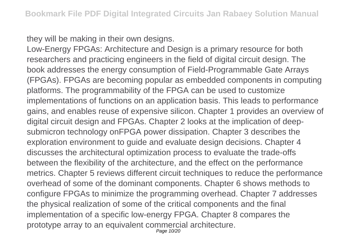they will be making in their own designs.

Low-Energy FPGAs: Architecture and Design is a primary resource for both researchers and practicing engineers in the field of digital circuit design. The book addresses the energy consumption of Field-Programmable Gate Arrays (FPGAs). FPGAs are becoming popular as embedded components in computing platforms. The programmability of the FPGA can be used to customize implementations of functions on an application basis. This leads to performance gains, and enables reuse of expensive silicon. Chapter 1 provides an overview of digital circuit design and FPGAs. Chapter 2 looks at the implication of deepsubmicron technology onFPGA power dissipation. Chapter 3 describes the exploration environment to guide and evaluate design decisions. Chapter 4 discusses the architectural optimization process to evaluate the trade-offs between the flexibility of the architecture, and the effect on the performance metrics. Chapter 5 reviews different circuit techniques to reduce the performance overhead of some of the dominant components. Chapter 6 shows methods to configure FPGAs to minimize the programming overhead. Chapter 7 addresses the physical realization of some of the critical components and the final implementation of a specific low-energy FPGA. Chapter 8 compares the prototype array to an equivalent commercial architecture. Page 10/20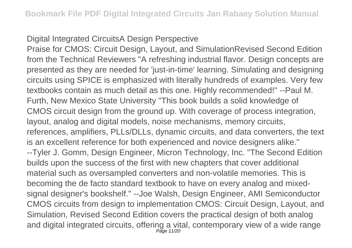## Digital Integrated CircuitsA Design Perspective

Praise for CMOS: Circuit Design, Layout, and SimulationRevised Second Edition from the Technical Reviewers "A refreshing industrial flavor. Design concepts are presented as they are needed for 'just-in-time' learning. Simulating and designing circuits using SPICE is emphasized with literally hundreds of examples. Very few textbooks contain as much detail as this one. Highly recommended!" --Paul M. Furth, New Mexico State University "This book builds a solid knowledge of CMOS circuit design from the ground up. With coverage of process integration, layout, analog and digital models, noise mechanisms, memory circuits, references, amplifiers, PLLs/DLLs, dynamic circuits, and data converters, the text is an excellent reference for both experienced and novice designers alike." --Tyler J. Gomm, Design Engineer, Micron Technology, Inc. "The Second Edition builds upon the success of the first with new chapters that cover additional material such as oversampled converters and non-volatile memories. This is becoming the de facto standard textbook to have on every analog and mixedsignal designer's bookshelf." --Joe Walsh, Design Engineer, AMI Semiconductor CMOS circuits from design to implementation CMOS: Circuit Design, Layout, and Simulation, Revised Second Edition covers the practical design of both analog and digital integrated circuits, offering a vital, contemporary view of a wide range Page 11/20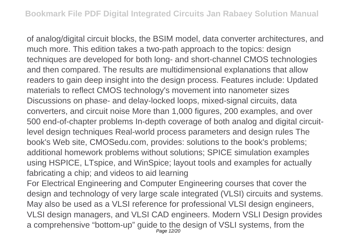of analog/digital circuit blocks, the BSIM model, data converter architectures, and much more. This edition takes a two-path approach to the topics: design techniques are developed for both long- and short-channel CMOS technologies and then compared. The results are multidimensional explanations that allow readers to gain deep insight into the design process. Features include: Updated materials to reflect CMOS technology's movement into nanometer sizes Discussions on phase- and delay-locked loops, mixed-signal circuits, data converters, and circuit noise More than 1,000 figures, 200 examples, and over 500 end-of-chapter problems In-depth coverage of both analog and digital circuitlevel design techniques Real-world process parameters and design rules The book's Web site, CMOSedu.com, provides: solutions to the book's problems; additional homework problems without solutions; SPICE simulation examples using HSPICE, LTspice, and WinSpice; layout tools and examples for actually fabricating a chip; and videos to aid learning

For Electrical Engineering and Computer Engineering courses that cover the design and technology of very large scale integrated (VLSI) circuits and systems. May also be used as a VLSI reference for professional VLSI design engineers, VLSI design managers, and VLSI CAD engineers. Modern VSLI Design provides a comprehensive "bottom-up" guide to the design of VSLI systems, from the Page 12/20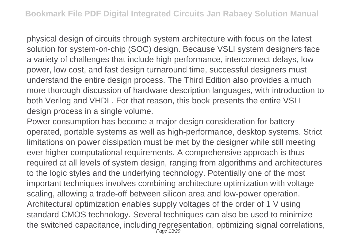physical design of circuits through system architecture with focus on the latest solution for system-on-chip (SOC) design. Because VSLI system designers face a variety of challenges that include high performance, interconnect delays, low power, low cost, and fast design turnaround time, successful designers must understand the entire design process. The Third Edition also provides a much more thorough discussion of hardware description languages, with introduction to both Verilog and VHDL. For that reason, this book presents the entire VSLI design process in a single volume.

Power consumption has become a major design consideration for batteryoperated, portable systems as well as high-performance, desktop systems. Strict limitations on power dissipation must be met by the designer while still meeting ever higher computational requirements. A comprehensive approach is thus required at all levels of system design, ranging from algorithms and architectures to the logic styles and the underlying technology. Potentially one of the most important techniques involves combining architecture optimization with voltage scaling, allowing a trade-off between silicon area and low-power operation. Architectural optimization enables supply voltages of the order of 1 V using standard CMOS technology. Several techniques can also be used to minimize the switched capacitance, including representation, optimizing signal correlations,<br>
<sub>Page 13/20</sub>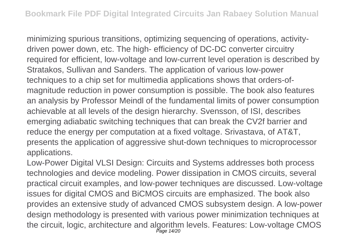minimizing spurious transitions, optimizing sequencing of operations, activitydriven power down, etc. The high- efficiency of DC-DC converter circuitry required for efficient, low-voltage and low-current level operation is described by Stratakos, Sullivan and Sanders. The application of various low-power techniques to a chip set for multimedia applications shows that orders-ofmagnitude reduction in power consumption is possible. The book also features an analysis by Professor Meindl of the fundamental limits of power consumption achievable at all levels of the design hierarchy. Svensson, of ISI, describes emerging adiabatic switching techniques that can break the CV2f barrier and reduce the energy per computation at a fixed voltage. Srivastava, of AT&T, presents the application of aggressive shut-down techniques to microprocessor applications.

Low-Power Digital VLSI Design: Circuits and Systems addresses both process technologies and device modeling. Power dissipation in CMOS circuits, several practical circuit examples, and low-power techniques are discussed. Low-voltage issues for digital CMOS and BiCMOS circuits are emphasized. The book also provides an extensive study of advanced CMOS subsystem design. A low-power design methodology is presented with various power minimization techniques at the circuit, logic, architecture and algorithm levels. Features: Low-voltage CMOS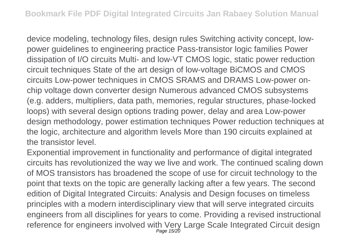device modeling, technology files, design rules Switching activity concept, lowpower guidelines to engineering practice Pass-transistor logic families Power dissipation of I/O circuits Multi- and low-VT CMOS logic, static power reduction circuit techniques State of the art design of low-voltage BiCMOS and CMOS circuits Low-power techniques in CMOS SRAMS and DRAMS Low-power onchip voltage down converter design Numerous advanced CMOS subsystems (e.g. adders, multipliers, data path, memories, regular structures, phase-locked loops) with several design options trading power, delay and area Low-power design methodology, power estimation techniques Power reduction techniques at the logic, architecture and algorithm levels More than 190 circuits explained at the transistor level.

Exponential improvement in functionality and performance of digital integrated circuits has revolutionized the way we live and work. The continued scaling down of MOS transistors has broadened the scope of use for circuit technology to the point that texts on the topic are generally lacking after a few years. The second edition of Digital Integrated Circuits: Analysis and Design focuses on timeless principles with a modern interdisciplinary view that will serve integrated circuits engineers from all disciplines for years to come. Providing a revised instructional reference for engineers involved with Very Large Scale Integrated Circuit design Page 15/20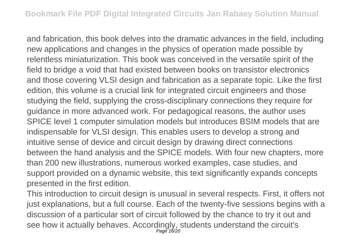and fabrication, this book delves into the dramatic advances in the field, including new applications and changes in the physics of operation made possible by relentless miniaturization. This book was conceived in the versatile spirit of the field to bridge a void that had existed between books on transistor electronics and those covering VLSI design and fabrication as a separate topic. Like the first edition, this volume is a crucial link for integrated circuit engineers and those studying the field, supplying the cross-disciplinary connections they require for guidance in more advanced work. For pedagogical reasons, the author uses SPICE level 1 computer simulation models but introduces BSIM models that are indispensable for VLSI design. This enables users to develop a strong and intuitive sense of device and circuit design by drawing direct connections between the hand analysis and the SPICE models. With four new chapters, more than 200 new illustrations, numerous worked examples, case studies, and support provided on a dynamic website, this text significantly expands concepts presented in the first edition.

This introduction to circuit design is unusual in several respects. First, it offers not just explanations, but a full course. Each of the twenty-five sessions begins with a discussion of a particular sort of circuit followed by the chance to try it out and see how it actually behaves. Accordingly, students understand the circuit's Page 16/20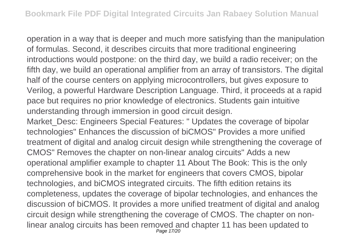operation in a way that is deeper and much more satisfying than the manipulation of formulas. Second, it describes circuits that more traditional engineering introductions would postpone: on the third day, we build a radio receiver; on the fifth day, we build an operational amplifier from an array of transistors. The digital half of the course centers on applying microcontrollers, but gives exposure to Verilog, a powerful Hardware Description Language. Third, it proceeds at a rapid pace but requires no prior knowledge of electronics. Students gain intuitive understanding through immersion in good circuit design.

Market\_Desc: Engineers Special Features: " Updates the coverage of bipolar technologies" Enhances the discussion of biCMOS" Provides a more unified treatment of digital and analog circuit design while strengthening the coverage of CMOS" Removes the chapter on non-linear analog circuits" Adds a new operational amplifier example to chapter 11 About The Book: This is the only comprehensive book in the market for engineers that covers CMOS, bipolar technologies, and biCMOS integrated circuits. The fifth edition retains its completeness, updates the coverage of bipolar technologies, and enhances the discussion of biCMOS. It provides a more unified treatment of digital and analog circuit design while strengthening the coverage of CMOS. The chapter on nonlinear analog circuits has been removed and chapter 11 has been updated to Page 17/20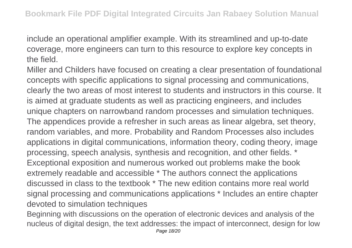include an operational amplifier example. With its streamlined and up-to-date coverage, more engineers can turn to this resource to explore key concepts in the field.

Miller and Childers have focused on creating a clear presentation of foundational concepts with specific applications to signal processing and communications, clearly the two areas of most interest to students and instructors in this course. It is aimed at graduate students as well as practicing engineers, and includes unique chapters on narrowband random processes and simulation techniques. The appendices provide a refresher in such areas as linear algebra, set theory, random variables, and more. Probability and Random Processes also includes applications in digital communications, information theory, coding theory, image processing, speech analysis, synthesis and recognition, and other fields. \* Exceptional exposition and numerous worked out problems make the book extremely readable and accessible \* The authors connect the applications discussed in class to the textbook \* The new edition contains more real world signal processing and communications applications \* Includes an entire chapter devoted to simulation techniques

Beginning with discussions on the operation of electronic devices and analysis of the nucleus of digital design, the text addresses: the impact of interconnect, design for low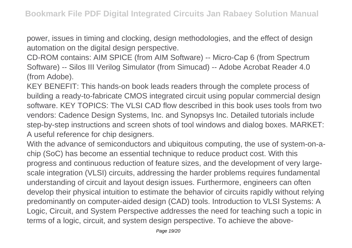power, issues in timing and clocking, design methodologies, and the effect of design automation on the digital design perspective.

CD-ROM contains: AIM SPICE (from AIM Software) -- Micro-Cap 6 (from Spectrum Software) -- Silos III Verilog Simulator (from Simucad) -- Adobe Acrobat Reader 4.0 (from Adobe).

KEY BENEFIT: This hands-on book leads readers through the complete process of building a ready-to-fabricate CMOS integrated circuit using popular commercial design software. KEY TOPICS: The VLSI CAD flow described in this book uses tools from two vendors: Cadence Design Systems, Inc. and Synopsys Inc. Detailed tutorials include step-by-step instructions and screen shots of tool windows and dialog boxes. MARKET: A useful reference for chip designers.

With the advance of semiconductors and ubiquitous computing, the use of system-on-achip (SoC) has become an essential technique to reduce product cost. With this progress and continuous reduction of feature sizes, and the development of very largescale integration (VLSI) circuits, addressing the harder problems requires fundamental understanding of circuit and layout design issues. Furthermore, engineers can often develop their physical intuition to estimate the behavior of circuits rapidly without relying predominantly on computer-aided design (CAD) tools. Introduction to VLSI Systems: A Logic, Circuit, and System Perspective addresses the need for teaching such a topic in terms of a logic, circuit, and system design perspective. To achieve the above-